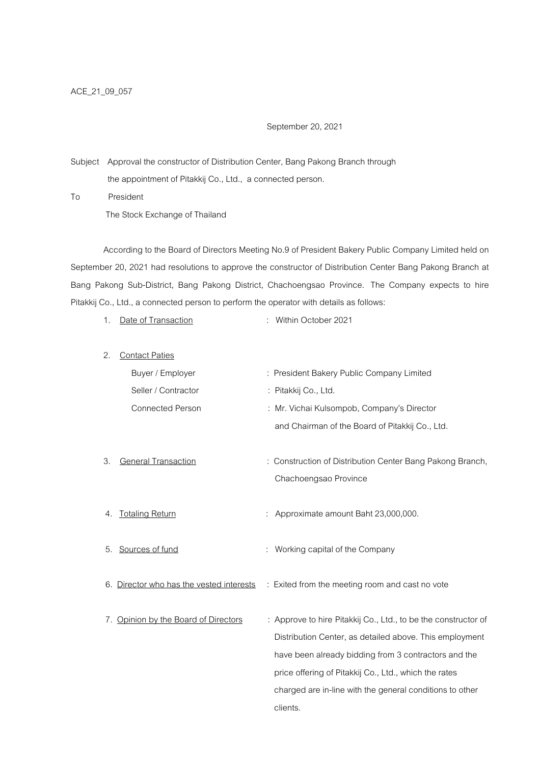September 20, 2021

Subject Approval the constructor of Distribution Center, Bang Pakong Branch through the appointment of Pitakkij Co., Ltd., a connected person.

To President The Stock Exchange of Thailand

According to the Board of Directors Meeting No.9 of President Bakery Public Company Limited held on September 20, 2021 had resolutions to approve the constructor of Distribution Center Bang Pakong Branch at Bang Pakong Sub-District, Bang Pakong District, Chachoengsao Province. The Company expects to hire Pitakkij Co., Ltd., a connected person to perform the operator with details as follows:

| 1. | Date of Transaction                      | Within October 2021                                                                                                                                                               |  |
|----|------------------------------------------|-----------------------------------------------------------------------------------------------------------------------------------------------------------------------------------|--|
| 2. | <b>Contact Paties</b>                    |                                                                                                                                                                                   |  |
|    | Buyer / Employer                         | : President Bakery Public Company Limited                                                                                                                                         |  |
|    | Seller / Contractor                      | : Pitakkij Co., Ltd.                                                                                                                                                              |  |
|    | <b>Connected Person</b>                  | : Mr. Vichai Kulsompob, Company's Director                                                                                                                                        |  |
|    |                                          | and Chairman of the Board of Pitakkij Co., Ltd.                                                                                                                                   |  |
| 3. | <b>General Transaction</b>               | : Construction of Distribution Center Bang Pakong Branch,<br>Chachoengsao Province                                                                                                |  |
| 4. | <b>Totaling Return</b>                   | : Approximate amount Baht 23,000,000.                                                                                                                                             |  |
| 5. | Sources of fund                          | : Working capital of the Company                                                                                                                                                  |  |
|    | 6. Director who has the vested interests | : Exited from the meeting room and cast no vote                                                                                                                                   |  |
|    | 7. Opinion by the Board of Directors     | : Approve to hire Pitakkij Co., Ltd., to be the constructor of<br>Distribution Center, as detailed above. This employment<br>have been already bidding from 3 contractors and the |  |
|    |                                          | price offering of Pitakkij Co., Ltd., which the rates                                                                                                                             |  |
|    |                                          | charged are in-line with the general conditions to other                                                                                                                          |  |
|    |                                          | clients.                                                                                                                                                                          |  |
|    |                                          |                                                                                                                                                                                   |  |